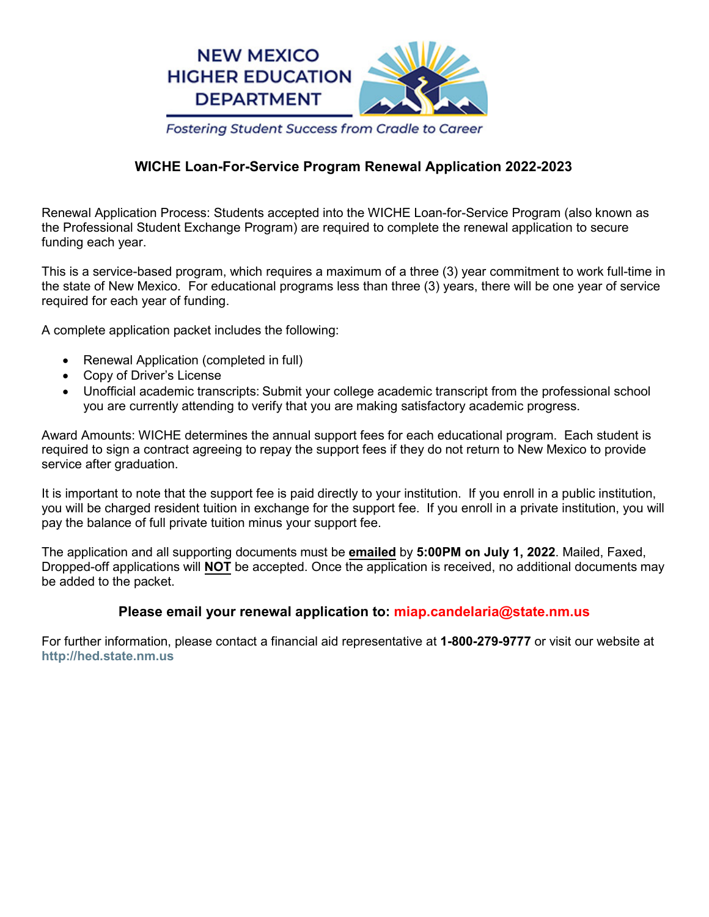

# **WICHE Loan-For-Service Program Renewal Application 2022-2023**

Renewal Application Process: Students accepted into the WICHE Loan-for-Service Program (also known as the Professional Student Exchange Program) are required to complete the renewal application to secure funding each year.

This is a service-based program, which requires a maximum of a three (3) year commitment to work full-time in the state of New Mexico. For educational programs less than three (3) years, there will be one year of service required for each year of funding.

A complete application packet includes the following:

- Renewal Application (completed in full)
- Copy of Driver's License
- Unofficial academic transcripts: Submit your college academic transcript from the professional school you are currently attending to verify that you are making satisfactory academic progress.

Award Amounts: WICHE determines the annual support fees for each educational program. Each student is required to sign a contract agreeing to repay the support fees if they do not return to New Mexico to provide service after graduation.

It is important to note that the support fee is paid directly to your institution. If you enroll in a public institution, you will be charged resident tuition in exchange for the support fee. If you enroll in a private institution, you will pay the balance of full private tuition minus your support fee.

The application and all supporting documents must be **emailed** by **5:00PM on July 1, 2022**. Mailed, Faxed, Dropped-off applications will **NOT** be accepted. Once the application is received, no additional documents may be added to the packet.

## **Please email your renewal application to: miap.candelaria@state.nm.us**

For further information, please contact a financial aid representative at **1-800-279-9777** or visit our website at **http://hed.state.nm.us**